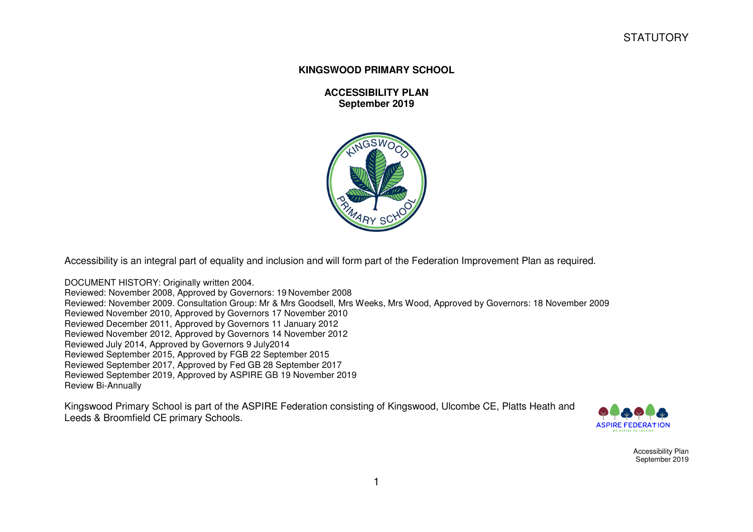#### **KINGSWOOD PRIMARY SCHOOL**

**ACCESSIBILITY PLAN September 2019** 



Accessibility is an integral part of equality and inclusion and will form part of the Federation Improvement Plan as required.

DOCUMENT HISTORY: Originally written 2004. Reviewed: November 2008, Approved by Governors: 19 November 2008 Reviewed: November 2009. Consultation Group: Mr & Mrs Goodsell, Mrs Weeks, Mrs Wood, Approved by Governors: 18 November 2009 Reviewed November 2010, Approved by Governors 17 November 2010 Reviewed December 2011, Approved by Governors 11 January 2012 Reviewed November 2012, Approved by Governors 14 November 2012 Reviewed July 2014, Approved by Governors 9 July2014 Reviewed September 2015, Approved by FGB 22 September 2015 Reviewed September 2017, Approved by Fed GB 28 September 2017 Reviewed September 2019, Approved by ASPIRE GB 19 November 2019 Review Bi-Annually

Kingswood Primary School is part of the ASPIRE Federation consisting of Kingswood, Ulcombe CE, Platts Heath and Leeds & Broomfield CE primary Schools.



Accessibility Plan September 2019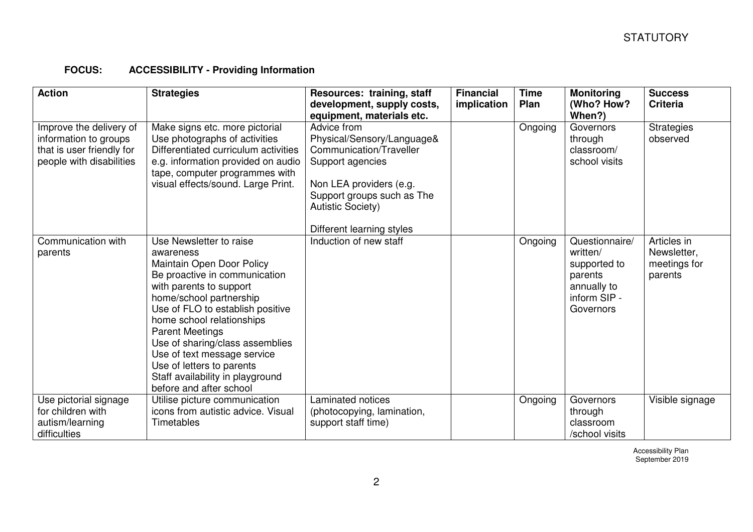### **FOCUS: ACCESSIBILITY - Providing Information**

| <b>Action</b>                                                                                             | <b>Strategies</b>                                                                                                                                                                                                                                                                                                                                                                                                 | Resources: training, staff<br>development, supply costs,<br>equipment, materials etc.                                                                                                                      | <b>Financial</b><br>implication | <b>Time</b><br>Plan | <b>Monitoring</b><br>(Who? How?<br>When?)                                                         | <b>Success</b><br><b>Criteria</b>                     |
|-----------------------------------------------------------------------------------------------------------|-------------------------------------------------------------------------------------------------------------------------------------------------------------------------------------------------------------------------------------------------------------------------------------------------------------------------------------------------------------------------------------------------------------------|------------------------------------------------------------------------------------------------------------------------------------------------------------------------------------------------------------|---------------------------------|---------------------|---------------------------------------------------------------------------------------------------|-------------------------------------------------------|
| Improve the delivery of<br>information to groups<br>that is user friendly for<br>people with disabilities | Make signs etc. more pictorial<br>Use photographs of activities<br>Differentiated curriculum activities<br>e.g. information provided on audio<br>tape, computer programmes with<br>visual effects/sound. Large Print.                                                                                                                                                                                             | Advice from<br>Physical/Sensory/Language&<br>Communication/Traveller<br>Support agencies<br>Non LEA providers (e.g.<br>Support groups such as The<br><b>Autistic Society)</b><br>Different learning styles |                                 | Ongoing             | Governors<br>through<br>classroom/<br>school visits                                               | Strategies<br>observed                                |
| Communication with<br>parents                                                                             | Use Newsletter to raise<br>awareness<br>Maintain Open Door Policy<br>Be proactive in communication<br>with parents to support<br>home/school partnership<br>Use of FLO to establish positive<br>home school relationships<br><b>Parent Meetings</b><br>Use of sharing/class assemblies<br>Use of text message service<br>Use of letters to parents<br>Staff availability in playground<br>before and after school | Induction of new staff                                                                                                                                                                                     |                                 | Ongoing             | Questionnaire/<br>written/<br>supported to<br>parents<br>annually to<br>inform SIP -<br>Governors | Articles in<br>Newsletter,<br>meetings for<br>parents |
| Use pictorial signage<br>for children with<br>autism/learning<br>difficulties                             | Utilise picture communication<br>icons from autistic advice. Visual<br>Timetables                                                                                                                                                                                                                                                                                                                                 | Laminated notices<br>(photocopying, lamination,<br>support staff time)                                                                                                                                     |                                 | Ongoing             | Governors<br>through<br>classroom<br>/school visits                                               | Visible signage                                       |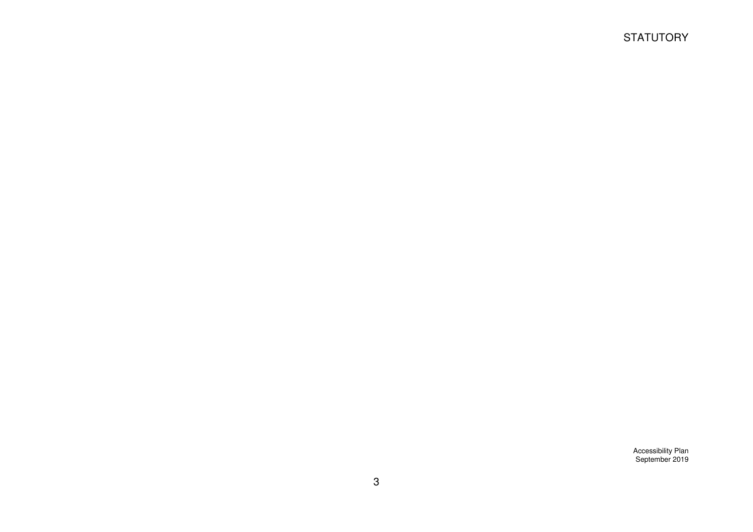# **STATUTORY**

Accessibility Plan September 2019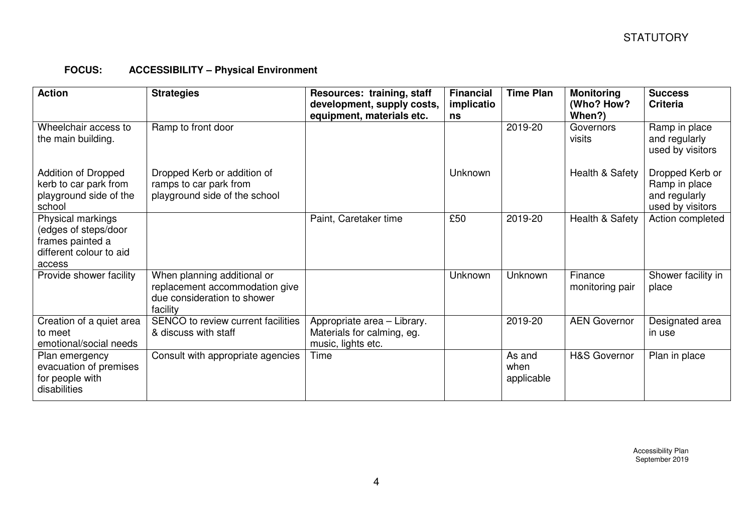### **FOCUS: ACCESSIBILITY – Physical Environment**

| <b>Action</b>                                                                                      | <b>Strategies</b>                                                                                        | Resources: training, staff<br>development, supply costs,<br>equipment, materials etc. | <b>Financial</b><br>implicatio<br>ns | <b>Time Plan</b>             | <b>Monitoring</b><br>(Who? How?<br>When?) | <b>Success</b><br><b>Criteria</b>                                     |
|----------------------------------------------------------------------------------------------------|----------------------------------------------------------------------------------------------------------|---------------------------------------------------------------------------------------|--------------------------------------|------------------------------|-------------------------------------------|-----------------------------------------------------------------------|
| Wheelchair access to<br>the main building.                                                         | Ramp to front door                                                                                       |                                                                                       |                                      | 2019-20                      | Governors<br>visits                       | Ramp in place<br>and regularly<br>used by visitors                    |
| Addition of Dropped<br>kerb to car park from<br>playground side of the<br>school                   | Dropped Kerb or addition of<br>ramps to car park from<br>playground side of the school                   |                                                                                       | Unknown                              |                              | Health & Safety                           | Dropped Kerb or<br>Ramp in place<br>and regularly<br>used by visitors |
| Physical markings<br>(edges of steps/door<br>frames painted a<br>different colour to aid<br>access |                                                                                                          | Paint, Caretaker time                                                                 | £50                                  | 2019-20                      | Health & Safety                           | Action completed                                                      |
| Provide shower facility                                                                            | When planning additional or<br>replacement accommodation give<br>due consideration to shower<br>facility |                                                                                       | Unknown                              | Unknown                      | Finance<br>monitoring pair                | Shower facility in<br>place                                           |
| Creation of a quiet area<br>to meet<br>emotional/social needs                                      | SENCO to review current facilities<br>& discuss with staff                                               | Appropriate area - Library.<br>Materials for calming, eg.<br>music, lights etc.       |                                      | 2019-20                      | <b>AEN Governor</b>                       | Designated area<br>in use                                             |
| Plan emergency<br>evacuation of premises<br>for people with<br>disabilities                        | Consult with appropriate agencies                                                                        | Time                                                                                  |                                      | As and<br>when<br>applicable | <b>H&amp;S Governor</b>                   | Plan in place                                                         |

Accessibility Plan September 2019